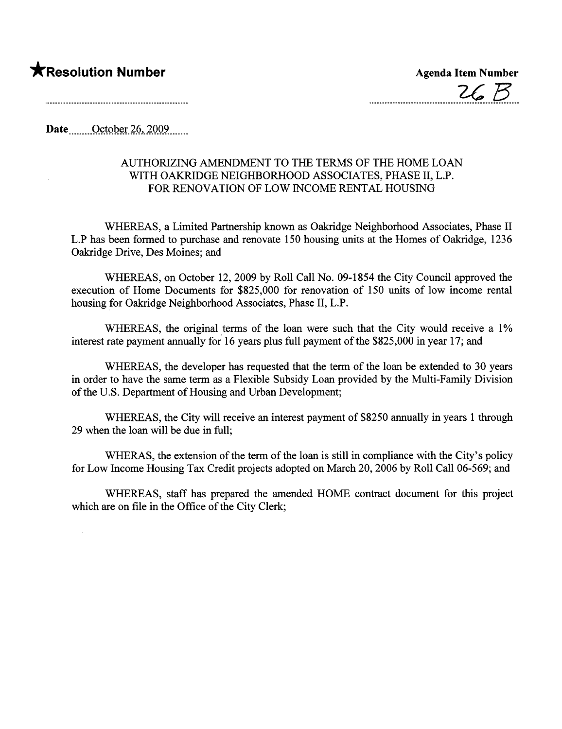## **\***Resolution Number Agenda Item Number

 $26B$ 

Date......... October 26, 2009.......

## AUTHORIZING AMENDMENT TO THE TERMS OF THE HOME LOAN WITH OAKRDGE NEIGHBORHOOD ASSOCIATES, PHASE II, L.P. FOR RENOVATION OF LOW INCOME RENTAL HOUSING

WHEREAS, a Limited Partnership known as Oakridge Neighborhood Associates, Phase II L.P has been formed to purchase and renovate 150 housing units at the Homes of Oakridge, 1236 Oakridge Drive, Des Moines; and

WHEREAS, on October 12, 2009 by Roll Call No. 09-1854 the City Council approved the execution of Home Documents for \$825,000 for renovation of 150 units of low income rental housing for Oakridge Neighborhood Associates, Phase II, L.P.

WHEREAS, the original terms of the loan were such that the City would receive a 1% interest rate payment anually for 16 years plus full payment of the \$825,000 in year 17; and

WHEREAS, the developer has requested that the term of the loan be extended to 30 years in order to have the same term as a Flexible Subsidy Loan provided by the Multi-Family Division of the U.S. Deparment of Housing and Urban Development;

WHEREAS, the City will receive an interest payment of \$8250 anually in years 1 through 29 when the loan will be due in full;

WHERAS, the extension of the term of the loan is still in compliance with the City's policy for Low Income Housing Tax Credit projects adopted on March 20, 2006 by Roll Call 06-569; and

WHEREAS, staff has prepared the amended HOME contract document for this project which are on file in the Office of the City Clerk;